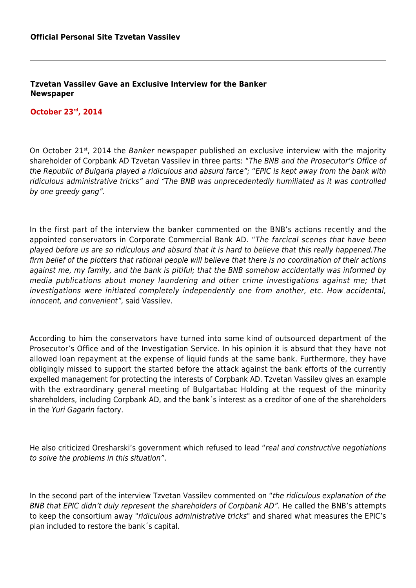**Tzvetan Vassilev Gave an Exclusive Interview for the Banker Newspaper**

## **October 23rd, 2014**

On October 21<sup>st</sup>, 2014 the *Banker* newspaper published an exclusive interview with the majority shareholder of Corpbank AD Tzvetan Vassilev in three parts: "The BNB and the Prosecutor's Office of the Republic of Bulgaria played a ridiculous and absurd farce"; "EPIC is kept away from the bank with ridiculous administrative tricks" and "The BNB was unprecedentedly humiliated as it was controlled by one greedy gang".

In the first part of the interview the banker commented on the BNB's actions recently and the appointed conservators in Corporate Commercial Bank AD. "The farcical scenes that have been played before us are so ridiculous and absurd that it is hard to believe that this really happened.The firm belief of the plotters that rational people will believe that there is no coordination of their actions against me, my family, and the bank is pitiful; that the BNB somehow accidentally was informed by media publications about money laundering and other crime investigations against me; that investigations were initiated completely independently one from another, etc. How accidental, innocent, and convenient", said Vassilev.

According to him the conservators have turned into some kind of outsourced department of the Prosecutor's Office and of the Investigation Service. In his opinion it is absurd that they have not allowed loan repayment at the expense of liquid funds at the same bank. Furthermore, they have obligingly missed to support the started before the attack against the bank efforts of the currently expelled management for protecting the interests of Corpbank AD. Tzvetan Vassilev gives an example with the extraordinary general meeting of Bulgartabac Holding at the request of the minority shareholders, including Corpbank AD, and the bank´s interest as a creditor of one of the shareholders in the Yuri Gagarin factory.

He also criticized Oresharski's government which refused to lead "real and constructive negotiations to solve the problems in this situation".

In the second part of the interview Tzvetan Vassilev commented on "the ridiculous explanation of the BNB that EPIC didn't duly represent the shareholders of Corpbank AD". He called the BNB's attempts to keep the consortium away "ridiculous administrative tricks" and shared what measures the EPIC's plan included to restore the bank´s capital.